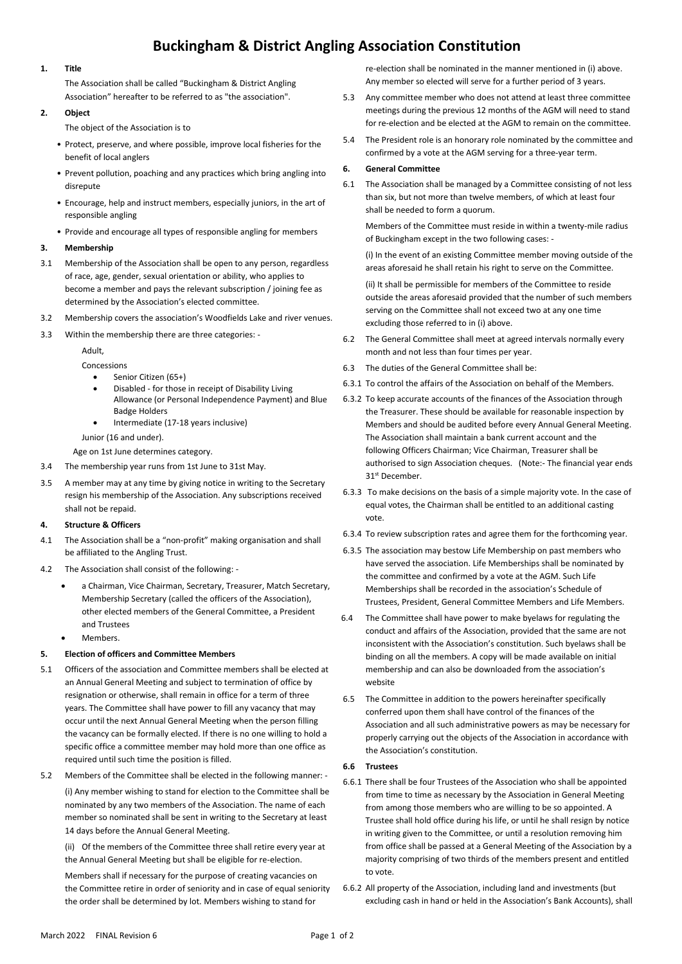# **Buckingham & District Angling Association Constitution**

# **1. Title**

The Association shall be called "Buckingham & District Angling Association" hereafter to be referred to as "the association".

## **2. Object**

The object of the Association is to

- Protect, preserve, and where possible, improve local fisheries for the benefit of local anglers
- Prevent pollution, poaching and any practices which bring angling into disrepute
- Encourage, help and instruct members, especially juniors, in the art of responsible angling
- Provide and encourage all types of responsible angling for members

# **3. Membership**

- 3.1 Membership of the Association shall be open to any person, regardless of race, age, gender, sexual orientation or ability, who applies to become a member and pays the relevant subscription / joining fee as determined by the Association's elected committee.
- 3.2 Membership covers the association's Woodfields Lake and river venues.
- 3.3 Within the membership there are three categories: -

Adult,

- Concessions
	- Senior Citizen (65+)
	- Disabled for those in receipt of Disability Living Allowance (or Personal Independence Payment) and Blue Badge Holders
	- Intermediate (17-18 years inclusive)

## Junior (16 and under).

Age on 1st June determines category.

- 3.4 The membership year runs from 1st June to 31st May.
- 3.5 A member may at any time by giving notice in writing to the Secretary resign his membership of the Association. Any subscriptions received shall not be repaid.

# **4. Structure & Officers**

- 4.1 The Association shall be a "non-profit" making organisation and shall be affiliated to the Angling Trust.
- 4.2 The Association shall consist of the following:
	- a Chairman, Vice Chairman, Secretary, Treasurer, Match Secretary, Membership Secretary (called the officers of the Association), other elected members of the General Committee, a President and Trustees
	- Members.

# **5. Election of officers and Committee Members**

- 5.1 Officers of the association and Committee members shall be elected at an Annual General Meeting and subject to termination of office by resignation or otherwise, shall remain in office for a term of three years. The Committee shall have power to fill any vacancy that may occur until the next Annual General Meeting when the person filling the vacancy can be formally elected. If there is no one willing to hold a specific office a committee member may hold more than one office as required until such time the position is filled.
- 5.2 Members of the Committee shall be elected in the following manner: -

(i) Any member wishing to stand for election to the Committee shall be nominated by any two members of the Association. The name of each member so nominated shall be sent in writing to the Secretary at least 14 days before the Annual General Meeting.

(ii) Of the members of the Committee three shall retire every year at the Annual General Meeting but shall be eligible for re-election.

Members shall if necessary for the purpose of creating vacancies on the Committee retire in order of seniority and in case of equal seniority the order shall be determined by lot. Members wishing to stand for

re-election shall be nominated in the manner mentioned in (i) above. Any member so elected will serve for a further period of 3 years.

- 5.3 Any committee member who does not attend at least three committee meetings during the previous 12 months of the AGM will need to stand for re-election and be elected at the AGM to remain on the committee.
- 5.4 The President role is an honorary role nominated by the committee and confirmed by a vote at the AGM serving for a three-year term.

## **6. General Committee**

6.1 The Association shall be managed by a Committee consisting of not less than six, but not more than twelve members, of which at least four shall be needed to form a quorum.

Members of the Committee must reside in within a twenty-mile radius of Buckingham except in the two following cases: -

(i) In the event of an existing Committee member moving outside of the areas aforesaid he shall retain his right to serve on the Committee.

(ii) It shall be permissible for members of the Committee to reside outside the areas aforesaid provided that the number of such members serving on the Committee shall not exceed two at any one time excluding those referred to in (i) above.

- 6.2 The General Committee shall meet at agreed intervals normally every month and not less than four times per year.
- 6.3 The duties of the General Committee shall be:
- 6.3.1 To control the affairs of the Association on behalf of the Members.
- 6.3.2 To keep accurate accounts of the finances of the Association through the Treasurer. These should be available for reasonable inspection by Members and should be audited before every Annual General Meeting. The Association shall maintain a bank current account and the following Officers Chairman; Vice Chairman, Treasurer shall be authorised to sign Association cheques. (Note:- The financial year ends 31st December.
- 6.3.3 To make decisions on the basis of a simple majority vote. In the case of equal votes, the Chairman shall be entitled to an additional casting vote.
- 6.3.4 To review subscription rates and agree them for the forthcoming year.
- 6.3.5 The association may bestow Life Membership on past members who have served the association. Life Memberships shall be nominated by the committee and confirmed by a vote at the AGM. Such Life Memberships shall be recorded in the association's Schedule of Trustees, President, General Committee Members and Life Members.
- 6.4 The Committee shall have power to make byelaws for regulating the conduct and affairs of the Association, provided that the same are not inconsistent with the Association's constitution. Such byelaws shall be binding on all the members. A copy will be made available on initial membership and can also be downloaded from the association's website
- 6.5 The Committee in addition to the powers hereinafter specifically conferred upon them shall have control of the finances of the Association and all such administrative powers as may be necessary for properly carrying out the objects of the Association in accordance with the Association's constitution.

#### **6.6 Trustees**

- 6.6.1 There shall be four Trustees of the Association who shall be appointed from time to time as necessary by the Association in General Meeting from among those members who are willing to be so appointed. A Trustee shall hold office during his life, or until he shall resign by notice in writing given to the Committee, or until a resolution removing him from office shall be passed at a General Meeting of the Association by a majority comprising of two thirds of the members present and entitled to vote.
- 6.6.2 All property of the Association, including land and investments (but excluding cash in hand or held in the Association's Bank Accounts), shall